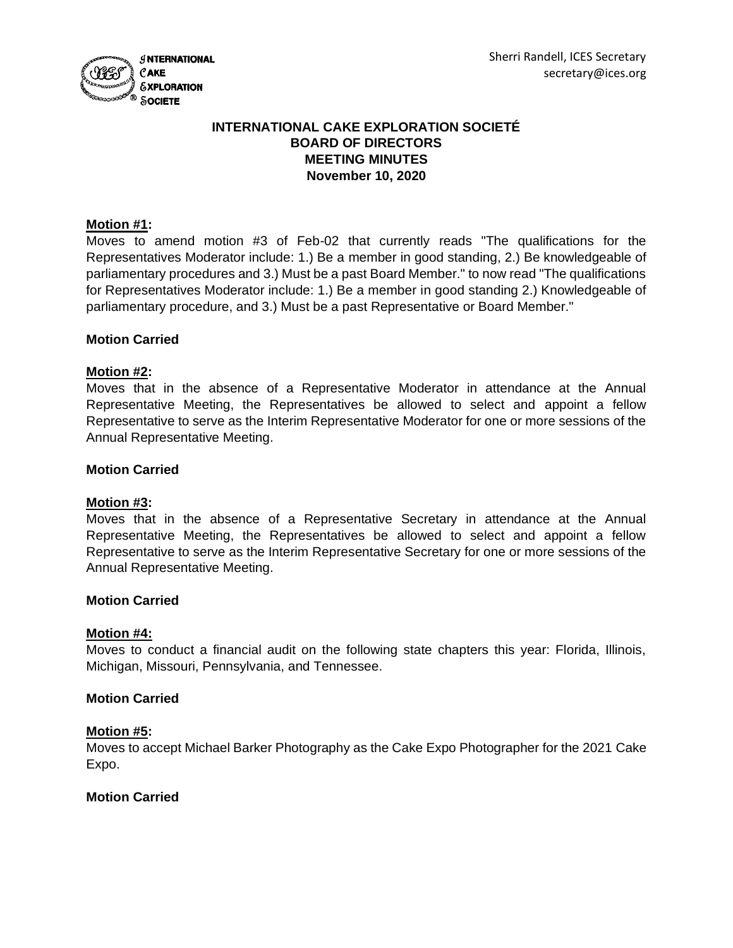

# **INTERNATIONAL CAKE EXPLORATION SOCIETÉ BOARD OF DIRECTORS MEETING MINUTES November 10, 2020**

# **Motion #1:**

Moves to amend motion #3 of Feb-02 that currently reads "The qualifications for the Representatives Moderator include: 1.) Be a member in good standing, 2.) Be knowledgeable of parliamentary procedures and 3.) Must be a past Board Member." to now read "The qualifications for Representatives Moderator include: 1.) Be a member in good standing 2.) Knowledgeable of parliamentary procedure, and 3.) Must be a past Representative or Board Member."

# **Motion Carried**

#### **Motion #2:**

Moves that in the absence of a Representative Moderator in attendance at the Annual Representative Meeting, the Representatives be allowed to select and appoint a fellow Representative to serve as the Interim Representative Moderator for one or more sessions of the Annual Representative Meeting.

#### **Motion Carried**

#### **Motion #3:**

Moves that in the absence of a Representative Secretary in attendance at the Annual Representative Meeting, the Representatives be allowed to select and appoint a fellow Representative to serve as the Interim Representative Secretary for one or more sessions of the Annual Representative Meeting.

#### **Motion Carried**

#### **Motion #4:**

Moves to conduct a financial audit on the following state chapters this year: Florida, Illinois, Michigan, Missouri, Pennsylvania, and Tennessee.

#### **Motion Carried**

#### **Motion #5:**

Moves to accept Michael Barker Photography as the Cake Expo Photographer for the 2021 Cake Expo.

#### **Motion Carried**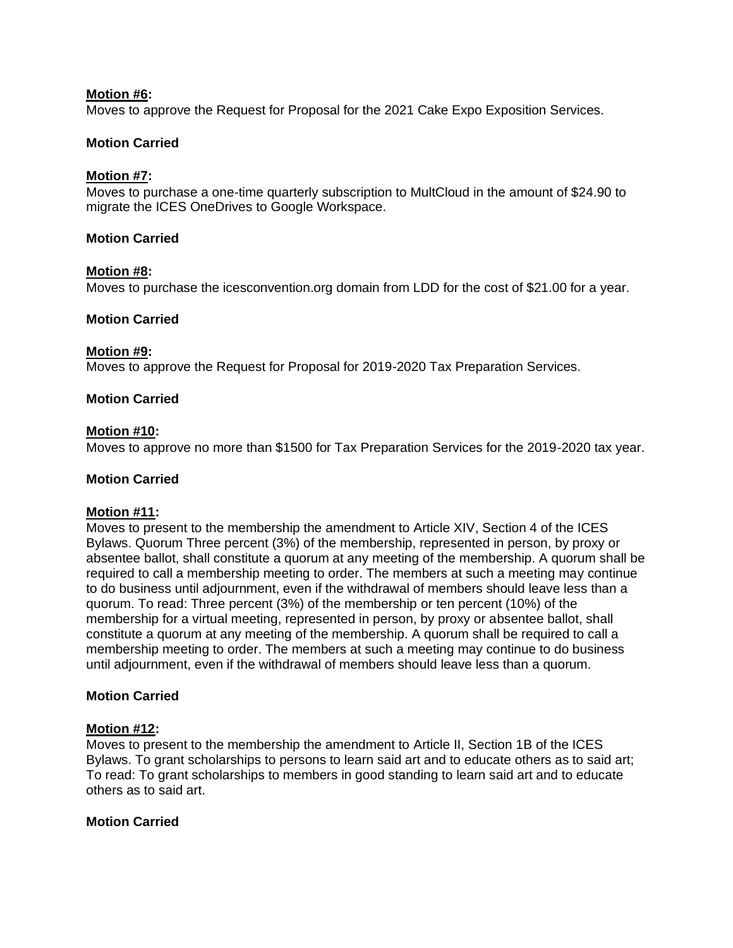# **Motion #6:**

Moves to approve the Request for Proposal for the 2021 Cake Expo Exposition Services.

# **Motion Carried**

# **Motion #7:**

Moves to purchase a one-time quarterly subscription to MultCloud in the amount of \$24.90 to migrate the ICES OneDrives to Google Workspace.

### **Motion Carried**

# **Motion #8:**

Moves to purchase the icesconvention.org domain from LDD for the cost of \$21.00 for a year.

# **Motion Carried**

# **Motion #9:**

Moves to approve the Request for Proposal for 2019-2020 Tax Preparation Services.

# **Motion Carried**

# **Motion #10:**

Moves to approve no more than \$1500 for Tax Preparation Services for the 2019-2020 tax year.

### **Motion Carried**

#### **Motion #11:**

Moves to present to the membership the amendment to Article XIV, Section 4 of the ICES Bylaws. Quorum Three percent (3%) of the membership, represented in person, by proxy or absentee ballot, shall constitute a quorum at any meeting of the membership. A quorum shall be required to call a membership meeting to order. The members at such a meeting may continue to do business until adjournment, even if the withdrawal of members should leave less than a quorum. To read: Three percent (3%) of the membership or ten percent (10%) of the membership for a virtual meeting, represented in person, by proxy or absentee ballot, shall constitute a quorum at any meeting of the membership. A quorum shall be required to call a membership meeting to order. The members at such a meeting may continue to do business until adjournment, even if the withdrawal of members should leave less than a quorum.

# **Motion Carried**

#### **Motion #12:**

Moves to present to the membership the amendment to Article II, Section 1B of the ICES Bylaws. To grant scholarships to persons to learn said art and to educate others as to said art; To read: To grant scholarships to members in good standing to learn said art and to educate others as to said art.

#### **Motion Carried**